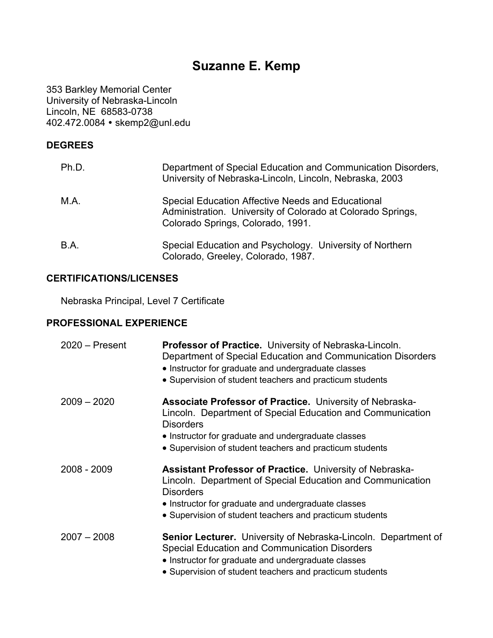# **Suzanne E. Kemp**

353 Barkley Memorial Center University of Nebraska-Lincoln Lincoln, NE 68583-0738 402.472.0084 skemp2@unl.edu

## **DEGREES**

| Ph.D.       | Department of Special Education and Communication Disorders,<br>University of Nebraska-Lincoln, Lincoln, Nebraska, 2003                               |
|-------------|-------------------------------------------------------------------------------------------------------------------------------------------------------|
| M.A.        | Special Education Affective Needs and Educational<br>Administration. University of Colorado at Colorado Springs,<br>Colorado Springs, Colorado, 1991. |
| <b>B.A.</b> | Special Education and Psychology. University of Northern<br>Colorado, Greeley, Colorado, 1987.                                                        |

## **CERTIFICATIONS/LICENSES**

Nebraska Principal, Level 7 Certificate

### **PROFESSIONAL EXPERIENCE**

| $2020 -$ Present | Professor of Practice. University of Nebraska-Lincoln.<br>Department of Special Education and Communication Disorders<br>• Instructor for graduate and undergraduate classes<br>• Supervision of student teachers and practicum students                             |
|------------------|----------------------------------------------------------------------------------------------------------------------------------------------------------------------------------------------------------------------------------------------------------------------|
| $2009 - 2020$    | <b>Associate Professor of Practice.</b> University of Nebraska-<br>Lincoln. Department of Special Education and Communication<br><b>Disorders</b><br>• Instructor for graduate and undergraduate classes<br>• Supervision of student teachers and practicum students |
| 2008 - 2009      | <b>Assistant Professor of Practice. University of Nebraska-</b><br>Lincoln. Department of Special Education and Communication<br><b>Disorders</b><br>• Instructor for graduate and undergraduate classes<br>• Supervision of student teachers and practicum students |
| $2007 - 2008$    | <b>Senior Lecturer.</b> University of Nebraska-Lincoln. Department of<br>Special Education and Communication Disorders<br>• Instructor for graduate and undergraduate classes<br>• Supervision of student teachers and practicum students                            |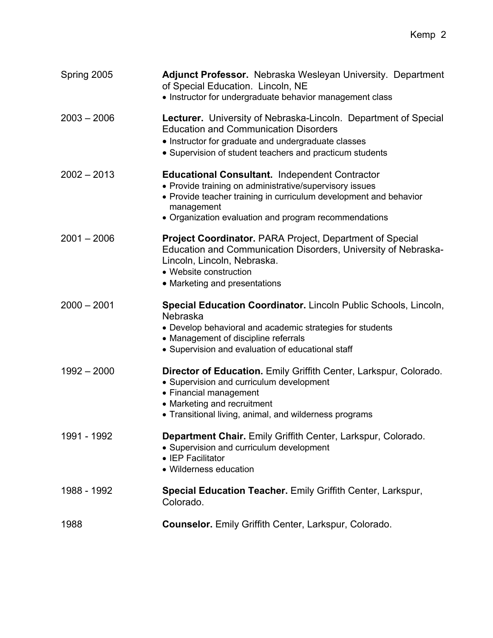| Spring 2005   | Adjunct Professor. Nebraska Wesleyan University. Department<br>of Special Education. Lincoln, NE<br>• Instructor for undergraduate behavior management class                                                                                                 |
|---------------|--------------------------------------------------------------------------------------------------------------------------------------------------------------------------------------------------------------------------------------------------------------|
| $2003 - 2006$ | Lecturer. University of Nebraska-Lincoln. Department of Special<br><b>Education and Communication Disorders</b><br>• Instructor for graduate and undergraduate classes<br>• Supervision of student teachers and practicum students                           |
| $2002 - 2013$ | <b>Educational Consultant. Independent Contractor</b><br>• Provide training on administrative/supervisory issues<br>• Provide teacher training in curriculum development and behavior<br>management<br>• Organization evaluation and program recommendations |
| $2001 - 2006$ | <b>Project Coordinator.</b> PARA Project, Department of Special<br>Education and Communication Disorders, University of Nebraska-<br>Lincoln, Lincoln, Nebraska.<br>• Website construction<br>• Marketing and presentations                                  |
| $2000 - 2001$ | Special Education Coordinator. Lincoln Public Schools, Lincoln,<br>Nebraska<br>• Develop behavioral and academic strategies for students<br>• Management of discipline referrals<br>• Supervision and evaluation of educational staff                        |
| $1992 - 2000$ | Director of Education. Emily Griffith Center, Larkspur, Colorado.<br>• Supervision and curriculum development<br>• Financial management<br>• Marketing and recruitment<br>• Transitional living, animal, and wilderness programs                             |
| 1991 - 1992   | Department Chair. Emily Griffith Center, Larkspur, Colorado.<br>• Supervision and curriculum development<br>• IEP Facilitator<br>• Wilderness education                                                                                                      |
| 1988 - 1992   | Special Education Teacher. Emily Griffith Center, Larkspur,<br>Colorado.                                                                                                                                                                                     |
| 1988          | Counselor. Emily Griffith Center, Larkspur, Colorado.                                                                                                                                                                                                        |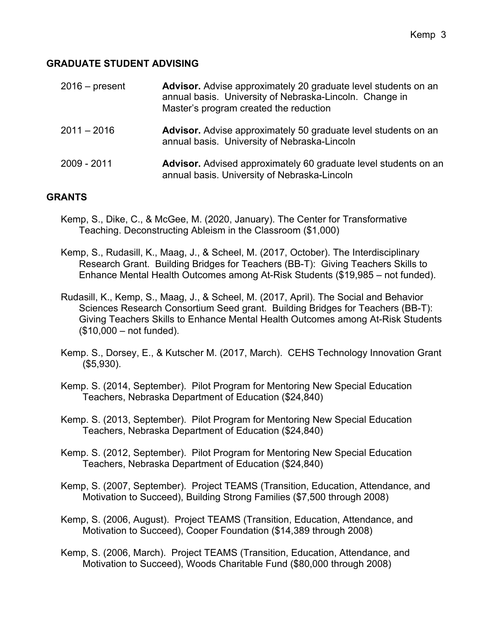## **GRADUATE STUDENT ADVISING**

| $2016$ – present | Advisor. Advise approximately 20 graduate level students on an<br>annual basis. University of Nebraska-Lincoln. Change in<br>Master's program created the reduction |
|------------------|---------------------------------------------------------------------------------------------------------------------------------------------------------------------|
| $2011 - 2016$    | <b>Advisor.</b> Advise approximately 50 graduate level students on an<br>annual basis. University of Nebraska-Lincoln                                               |
| 2009 - 2011      | <b>Advisor.</b> Advised approximately 60 graduate level students on an<br>annual basis. University of Nebraska-Lincoln                                              |

### **GRANTS**

- Kemp, S., Dike, C., & McGee, M. (2020, January). The Center for Transformative Teaching. Deconstructing Ableism in the Classroom (\$1,000)
- Kemp, S., Rudasill, K., Maag, J., & Scheel, M. (2017, October). The Interdisciplinary Research Grant. Building Bridges for Teachers (BB-T): Giving Teachers Skills to Enhance Mental Health Outcomes among At-Risk Students (\$19,985 – not funded).
- Rudasill, K., Kemp, S., Maag, J., & Scheel, M. (2017, April). The Social and Behavior Sciences Research Consortium Seed grant. Building Bridges for Teachers (BB-T): Giving Teachers Skills to Enhance Mental Health Outcomes among At-Risk Students (\$10,000 – not funded).
- Kemp. S., Dorsey, E., & Kutscher M. (2017, March). CEHS Technology Innovation Grant (\$5,930).
- Kemp. S. (2014, September). Pilot Program for Mentoring New Special Education Teachers, Nebraska Department of Education (\$24,840)
- Kemp. S. (2013, September). Pilot Program for Mentoring New Special Education Teachers, Nebraska Department of Education (\$24,840)
- Kemp. S. (2012, September). Pilot Program for Mentoring New Special Education Teachers, Nebraska Department of Education (\$24,840)
- Kemp, S. (2007, September). Project TEAMS (Transition, Education, Attendance, and Motivation to Succeed), Building Strong Families (\$7,500 through 2008)
- Kemp, S. (2006, August). Project TEAMS (Transition, Education, Attendance, and Motivation to Succeed), Cooper Foundation (\$14,389 through 2008)
- Kemp, S. (2006, March). Project TEAMS (Transition, Education, Attendance, and Motivation to Succeed), Woods Charitable Fund (\$80,000 through 2008)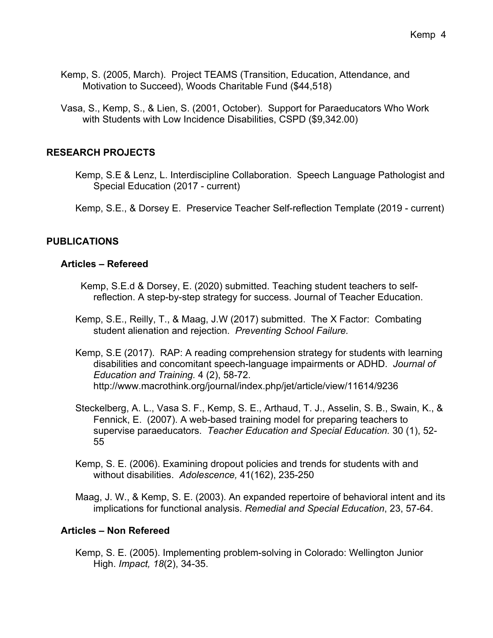- Kemp, S. (2005, March). Project TEAMS (Transition, Education, Attendance, and Motivation to Succeed), Woods Charitable Fund (\$44,518)
- Vasa, S., Kemp, S., & Lien, S. (2001, October). Support for Paraeducators Who Work with Students with Low Incidence Disabilities, CSPD (\$9,342.00)

### **RESEARCH PROJECTS**

- Kemp, S.E & Lenz, L. Interdiscipline Collaboration. Speech Language Pathologist and Special Education (2017 - current)
- Kemp, S.E., & Dorsey E. Preservice Teacher Self-reflection Template (2019 current)

# **PUBLICATIONS**

#### **Articles – Refereed**

- Kemp, S.E.d & Dorsey, E. (2020) submitted. Teaching student teachers to selfreflection. A step-by-step strategy for success. Journal of Teacher Education.
- Kemp, S.E., Reilly, T., & Maag, J.W (2017) submitted. The X Factor: Combating student alienation and rejection. *Preventing School Failure.*
- Kemp, S.E (2017). RAP: A reading comprehension strategy for students with learning disabilities and concomitant speech-language impairments or ADHD. *Journal of Education and Training.* 4 (2), 58-72. http://www.macrothink.org/journal/index.php/jet/article/view/11614/9236
- Steckelberg, A. L., Vasa S. F., Kemp, S. E., Arthaud, T. J., Asselin, S. B., Swain, K., & Fennick, E. (2007). A web-based training model for preparing teachers to supervise paraeducators. *Teacher Education and Special Education.* 30 (1), 52- 55
- Kemp, S. E. (2006). Examining dropout policies and trends for students with and without disabilities. *Adolescence,* 41(162), 235-250

Maag, J. W., & Kemp, S. E. (2003). An expanded repertoire of behavioral intent and its implications for functional analysis. *Remedial and Special Education*, 23, 57-64.

### **Articles – Non Refereed**

Kemp, S. E. (2005). Implementing problem-solving in Colorado: Wellington Junior High. *Impact, 18*(2), 34-35.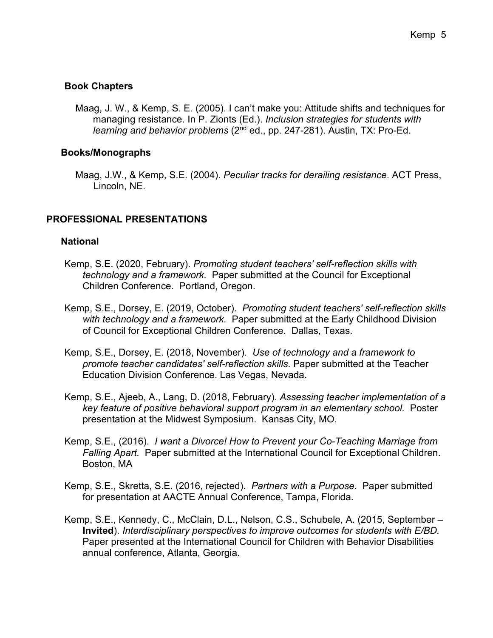# **Book Chapters**

Maag, J. W., & Kemp, S. E. (2005). I can't make you: Attitude shifts and techniques for managing resistance. In P. Zionts (Ed.). *Inclusion strategies for students with learning and behavior problems* (2nd ed., pp. 247-281). Austin, TX: Pro-Ed.

## **Books/Monographs**

Maag, J.W., & Kemp, S.E. (2004). *Peculiar tracks for derailing resistance*. ACT Press, Lincoln, NE.

# **PROFESSIONAL PRESENTATIONS**

### **National**

- Kemp, S.E. (2020, February). *Promoting student teachers' self-reflection skills with technology and a framework.* Paper submitted at the Council for Exceptional Children Conference. Portland, Oregon.
- Kemp, S.E., Dorsey, E. (2019, October). *Promoting student teachers' self-reflection skills with technology and a framework.* Paper submitted at the Early Childhood Division of Council for Exceptional Children Conference. Dallas, Texas.
- Kemp, S.E., Dorsey, E. (2018, November). *Use of technology and a framework to promote teacher candidates' self-reflection skills*. Paper submitted at the Teacher Education Division Conference. Las Vegas, Nevada.
- Kemp, S.E., Ajeeb, A., Lang, D. (2018, February). *Assessing teacher implementation of a key feature of positive behavioral support program in an elementary school.* Poster presentation at the Midwest Symposium. Kansas City, MO.
- Kemp, S.E., (2016). *I want a Divorce! How to Prevent your Co-Teaching Marriage from Falling Apart.* Paper submitted at the International Council for Exceptional Children. Boston, MA
- Kemp, S.E., Skretta, S.E. (2016, rejected). *Partners with a Purpose*. Paper submitted for presentation at AACTE Annual Conference, Tampa, Florida.
- Kemp, S.E., Kennedy, C., McClain, D.L., Nelson, C.S., Schubele, A. (2015, September **Invited**). *Interdisciplinary perspectives to improve outcomes for students with E/BD.*  Paper presented at the International Council for Children with Behavior Disabilities annual conference, Atlanta, Georgia.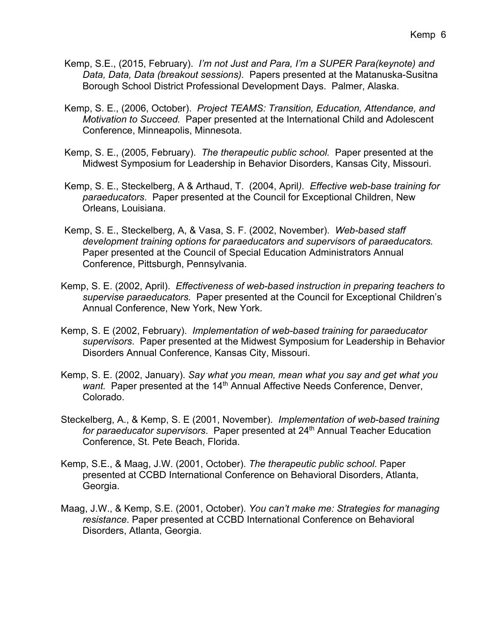- Kemp, S.E., (2015, February). *I'm not Just and Para, I'm a SUPER Para(keynote) and Data, Data, Data (breakout sessions).* Papers presented at the Matanuska-Susitna Borough School District Professional Development Days. Palmer, Alaska.
- Kemp, S. E., (2006, October). *Project TEAMS: Transition, Education, Attendance, and Motivation to Succeed.* Paper presented at the International Child and Adolescent Conference, Minneapolis, Minnesota.
- Kemp, S. E., (2005, February). *The therapeutic public school.* Paper presented at the Midwest Symposium for Leadership in Behavior Disorders, Kansas City, Missouri.
- Kemp, S. E., Steckelberg, A & Arthaud, T. (2004, April*). Effective web-base training for paraeducators*. Paper presented at the Council for Exceptional Children, New Orleans, Louisiana.
- Kemp, S. E., Steckelberg, A, & Vasa, S. F. (2002, November). *Web-based staff development training options for paraeducators and supervisors of paraeducators.* Paper presented at the Council of Special Education Administrators Annual Conference, Pittsburgh, Pennsylvania.
- Kemp, S. E. (2002, April). *Effectiveness of web-based instruction in preparing teachers to supervise paraeducators.* Paper presented at the Council for Exceptional Children's Annual Conference, New York, New York.
- Kemp, S. E (2002, February). *Implementation of web-based training for paraeducator supervisors*. Paper presented at the Midwest Symposium for Leadership in Behavior Disorders Annual Conference, Kansas City, Missouri.
- Kemp, S. E. (2002, January). *Say what you mean, mean what you say and get what you want.* Paper presented at the 14<sup>th</sup> Annual Affective Needs Conference, Denver, Colorado.
- Steckelberg, A., & Kemp, S. E (2001, November). *Implementation of web-based training*  for paraeducator supervisors. Paper presented at 24<sup>th</sup> Annual Teacher Education Conference, St. Pete Beach, Florida.
- Kemp, S.E., & Maag, J.W. (2001, October). *The therapeutic public school*. Paper presented at CCBD International Conference on Behavioral Disorders, Atlanta, Georgia.
- Maag, J.W., & Kemp, S.E. (2001, October). *You can't make me: Strategies for managing resistance*. Paper presented at CCBD International Conference on Behavioral Disorders, Atlanta, Georgia.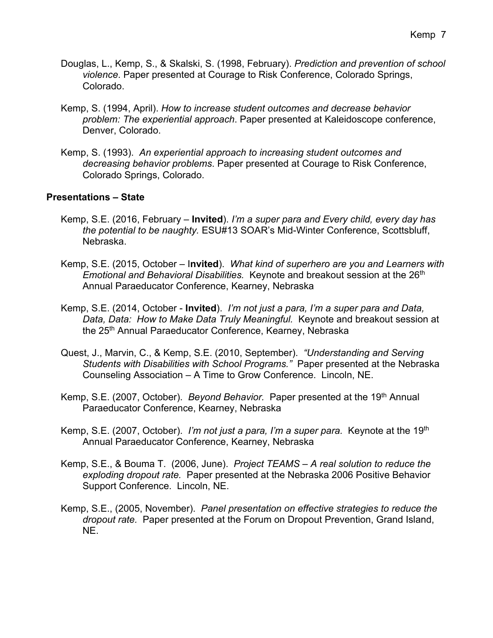- Douglas, L., Kemp, S., & Skalski, S. (1998, February). *Prediction and prevention of school violence*. Paper presented at Courage to Risk Conference, Colorado Springs, Colorado.
- Kemp, S. (1994, April). *How to increase student outcomes and decrease behavior problem: The experiential approach*. Paper presented at Kaleidoscope conference, Denver, Colorado.
- Kemp, S. (1993). *An experiential approach to increasing student outcomes and decreasing behavior problems*. Paper presented at Courage to Risk Conference, Colorado Springs, Colorado.

### **Presentations – State**

- Kemp, S.E. (2016, February **Invited**). *I'm a super para and Every child, every day has the potential to be naughty.* ESU#13 SOAR's Mid-Winter Conference, Scottsbluff, Nebraska.
- Kemp, S.E. (2015, October I**nvited**). *What kind of superhero are you and Learners with Emotional and Behavioral Disabilities.* Keynote and breakout session at the 26<sup>th</sup> Annual Paraeducator Conference, Kearney, Nebraska
- Kemp, S.E. (2014, October **Invited**). *I'm not just a para, I'm a super para and Data, Data, Data: How to Make Data Truly Meaningful.* Keynote and breakout session at the 25<sup>th</sup> Annual Paraeducator Conference, Kearney, Nebraska
- Quest, J., Marvin, C., & Kemp, S.E. (2010, September). *"Understanding and Serving Students with Disabilities with School Programs."* Paper presented at the Nebraska Counseling Association – A Time to Grow Conference. Lincoln, NE.
- Kemp, S.E. (2007, October). *Beyond Behavior.* Paper presented at the 19<sup>th</sup> Annual Paraeducator Conference, Kearney, Nebraska
- Kemp, S.E. (2007, October). *I'm not just a para, I'm a super para.* Keynote at the 19th Annual Paraeducator Conference, Kearney, Nebraska
- Kemp, S.E., & Bouma T. (2006, June). *Project TEAMS – A real solution to reduce the exploding dropout rate.* Paper presented at the Nebraska 2006 Positive Behavior Support Conference. Lincoln, NE.
- Kemp, S.E., (2005, November). *Panel presentation on effective strategies to reduce the dropout rate.* Paper presented at the Forum on Dropout Prevention, Grand Island, NE.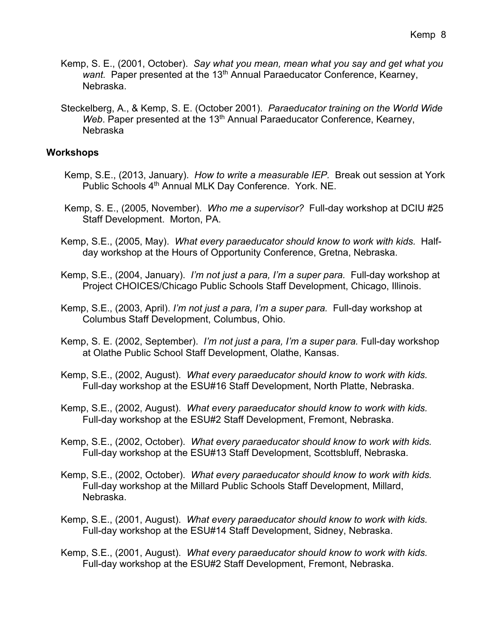- Kemp, S. E., (2001, October). *Say what you mean, mean what you say and get what you want.* Paper presented at the 13<sup>th</sup> Annual Paraeducator Conference, Kearney, Nebraska.
- Steckelberg, A., & Kemp, S. E. (October 2001). *Paraeducator training on the World Wide Web*. Paper presented at the 13<sup>th</sup> Annual Paraeducator Conference, Kearney, Nebraska

#### **Workshops**

- Kemp, S.E., (2013, January). *How to write a measurable IEP.* Break out session at York Public Schools 4<sup>th</sup> Annual MLK Day Conference. York. NE.
- Kemp, S. E., (2005, November). *Who me a supervisor?* Full-day workshop at DCIU #25 Staff Development. Morton, PA.
- Kemp, S.E., (2005, May). *What every paraeducator should know to work with kids.* Halfday workshop at the Hours of Opportunity Conference, Gretna, Nebraska.
- Kemp, S.E., (2004, January). *I'm not just a para, I'm a super para.* Full-day workshop at Project CHOICES/Chicago Public Schools Staff Development, Chicago, Illinois.
- Kemp, S.E., (2003, April). *I'm not just a para, I'm a super para.* Full-day workshop at Columbus Staff Development, Columbus, Ohio.
- Kemp, S. E. (2002, September). *I'm not just a para, I'm a super para.* Full-day workshop at Olathe Public School Staff Development, Olathe, Kansas.
- Kemp, S.E., (2002, August). *What every paraeducator should know to work with kids.*  Full-day workshop at the ESU#16 Staff Development, North Platte, Nebraska.
- Kemp, S.E., (2002, August). *What every paraeducator should know to work with kids.*  Full-day workshop at the ESU#2 Staff Development, Fremont, Nebraska.
- Kemp, S.E., (2002, October). *What every paraeducator should know to work with kids.*  Full-day workshop at the ESU#13 Staff Development, Scottsbluff, Nebraska.
- Kemp, S.E., (2002, October). *What every paraeducator should know to work with kids.*  Full-day workshop at the Millard Public Schools Staff Development, Millard, Nebraska.
- Kemp, S.E., (2001, August). *What every paraeducator should know to work with kids.*  Full-day workshop at the ESU#14 Staff Development, Sidney, Nebraska.
- Kemp, S.E., (2001, August). *What every paraeducator should know to work with kids.*  Full-day workshop at the ESU#2 Staff Development, Fremont, Nebraska.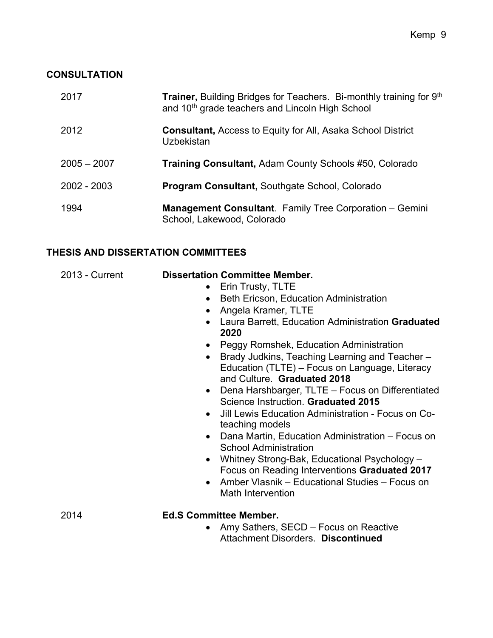# **CONSULTATION**

| 2017          | <b>Trainer, Building Bridges for Teachers. Bi-monthly training for 9th</b><br>and 10 <sup>th</sup> grade teachers and Lincoln High School |
|---------------|-------------------------------------------------------------------------------------------------------------------------------------------|
| 2012          | <b>Consultant, Access to Equity for All, Asaka School District</b><br>Uzbekistan                                                          |
| $2005 - 2007$ | <b>Training Consultant, Adam County Schools #50, Colorado</b>                                                                             |
| 2002 - 2003   | <b>Program Consultant, Southgate School, Colorado</b>                                                                                     |
| 1994          | Management Consultant. Family Tree Corporation - Gemini<br>School, Lakewood, Colorado                                                     |

# **THESIS AND DISSERTATION COMMITTEES**

| 2013 - Current | <b>Dissertation Committee Member.</b><br>Erin Trusty, TLTE<br>$\bullet$<br>Beth Ericson, Education Administration<br>$\bullet$<br>Angela Kramer, TLTE<br>Laura Barrett, Education Administration Graduated<br>2020<br>Peggy Romshek, Education Administration<br>Brady Judkins, Teaching Learning and Teacher-<br>Education (TLTE) – Focus on Language, Literacy<br>and Culture. Graduated 2018<br>Dena Harshbarger, TLTE - Focus on Differentiated<br>$\bullet$<br>Science Instruction. Graduated 2015<br>Jill Lewis Education Administration - Focus on Co-<br>$\bullet$<br>teaching models<br>Dana Martin, Education Administration - Focus on<br>$\bullet$<br><b>School Administration</b><br>Whitney Strong-Bak, Educational Psychology -<br>Focus on Reading Interventions Graduated 2017<br>Amber Vlasnik – Educational Studies – Focus on<br>Math Intervention |
|----------------|------------------------------------------------------------------------------------------------------------------------------------------------------------------------------------------------------------------------------------------------------------------------------------------------------------------------------------------------------------------------------------------------------------------------------------------------------------------------------------------------------------------------------------------------------------------------------------------------------------------------------------------------------------------------------------------------------------------------------------------------------------------------------------------------------------------------------------------------------------------------|
| 2014           | <b>Ed.S Committee Member.</b><br>Amy Sathers, SECD - Focus on Reactive<br>$\bullet$<br>Attachment Disorders. Discontinued                                                                                                                                                                                                                                                                                                                                                                                                                                                                                                                                                                                                                                                                                                                                              |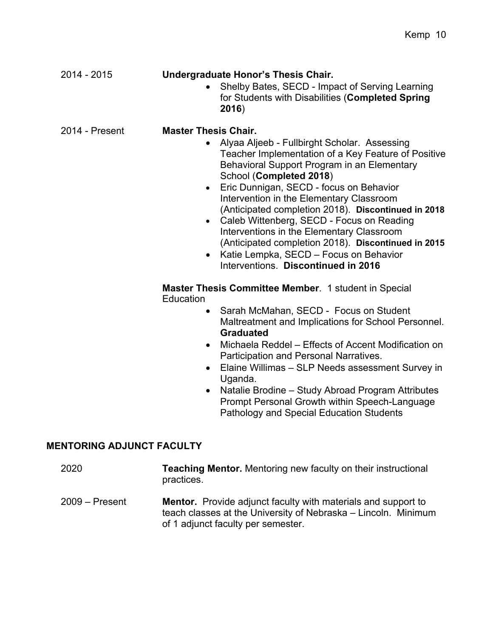| 2014 - 2015                      | Undergraduate Honor's Thesis Chair.<br>Shelby Bates, SECD - Impact of Serving Learning<br>for Students with Disabilities (Completed Spring<br>2016)                                                                                                                                                                                                                                                                                                                                                                                                                                                                                                                                                                                                                                                                                                                                                                                                                                                                                               |
|----------------------------------|---------------------------------------------------------------------------------------------------------------------------------------------------------------------------------------------------------------------------------------------------------------------------------------------------------------------------------------------------------------------------------------------------------------------------------------------------------------------------------------------------------------------------------------------------------------------------------------------------------------------------------------------------------------------------------------------------------------------------------------------------------------------------------------------------------------------------------------------------------------------------------------------------------------------------------------------------------------------------------------------------------------------------------------------------|
| 2014 - Present                   | <b>Master Thesis Chair.</b><br>Alyaa Aljeeb - Fullbirght Scholar. Assessing<br>$\bullet$<br>Teacher Implementation of a Key Feature of Positive<br>Behavioral Support Program in an Elementary<br>School (Completed 2018)<br>Eric Dunnigan, SECD - focus on Behavior<br>$\bullet$<br>Intervention in the Elementary Classroom<br>(Anticipated completion 2018). Discontinued in 2018<br>Caleb Wittenberg, SECD - Focus on Reading<br>$\bullet$<br>Interventions in the Elementary Classroom<br>(Anticipated completion 2018). Discontinued in 2015<br>Katie Lempka, SECD - Focus on Behavior<br>$\bullet$<br>Interventions. Discontinued in 2016<br>Master Thesis Committee Member. 1 student in Special<br>Education<br>Sarah McMahan, SECD - Focus on Student<br>$\bullet$<br>Maltreatment and Implications for School Personnel.<br><b>Graduated</b><br>Michaela Reddel - Effects of Accent Modification on<br>$\bullet$<br>Participation and Personal Narratives.<br>Elaine Willimas - SLP Needs assessment Survey in<br>$\bullet$<br>Uganda. |
|                                  | Natalie Brodine - Study Abroad Program Attributes<br>Prompt Personal Growth within Speech-Language<br><b>Pathology and Special Education Students</b>                                                                                                                                                                                                                                                                                                                                                                                                                                                                                                                                                                                                                                                                                                                                                                                                                                                                                             |
| <b>MENTORING ADJUNCT FACULTY</b> |                                                                                                                                                                                                                                                                                                                                                                                                                                                                                                                                                                                                                                                                                                                                                                                                                                                                                                                                                                                                                                                   |

| 2020             | <b>Teaching Mentor.</b> Mentoring new faculty on their instructional<br>practices.                                                                                           |
|------------------|------------------------------------------------------------------------------------------------------------------------------------------------------------------------------|
| $2009 -$ Present | <b>Mentor.</b> Provide adjunct faculty with materials and support to<br>teach classes at the University of Nebraska – Lincoln. Minimum<br>of 1 adjunct faculty per semester. |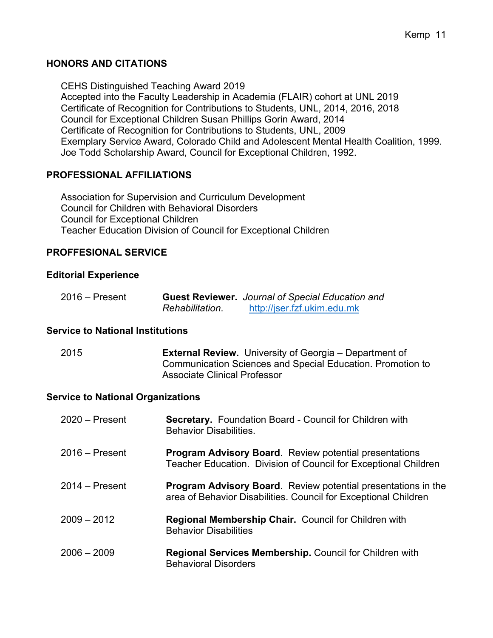# **HONORS AND CITATIONS**

CEHS Distinguished Teaching Award 2019 Accepted into the Faculty Leadership in Academia (FLAIR) cohort at UNL 2019 Certificate of Recognition for Contributions to Students, UNL, 2014, 2016, 2018 Council for Exceptional Children Susan Phillips Gorin Award, 2014 Certificate of Recognition for Contributions to Students, UNL, 2009 Exemplary Service Award, Colorado Child and Adolescent Mental Health Coalition, 1999. Joe Todd Scholarship Award, Council for Exceptional Children, 1992.

# **PROFESSIONAL AFFILIATIONS**

Association for Supervision and Curriculum Development Council for Children with Behavioral Disorders Council for Exceptional Children Teacher Education Division of Council for Exceptional Children

## **PROFFESIONAL SERVICE**

# **Editorial Experience**

| $2016 -$ Present |                 | <b>Guest Reviewer.</b> Journal of Special Education and |
|------------------|-----------------|---------------------------------------------------------|
|                  | Rehabilitation. | http://jser.fzf.ukim.edu.mk                             |

### **Service to National Institutions**

| 2015 | <b>External Review.</b> University of Georgia – Department of |
|------|---------------------------------------------------------------|
|      | Communication Sciences and Special Education. Promotion to    |
|      | <b>Associate Clinical Professor</b>                           |

### **Service to National Organizations**

| $2020 -$ Present | <b>Secretary.</b> Foundation Board - Council for Children with<br><b>Behavior Disabilities.</b>                                         |
|------------------|-----------------------------------------------------------------------------------------------------------------------------------------|
| $2016 -$ Present | <b>Program Advisory Board.</b> Review potential presentations<br>Teacher Education. Division of Council for Exceptional Children        |
| $2014 -$ Present | <b>Program Advisory Board.</b> Review potential presentations in the<br>area of Behavior Disabilities. Council for Exceptional Children |
| $2009 - 2012$    | <b>Regional Membership Chair.</b> Council for Children with<br><b>Behavior Disabilities</b>                                             |
| $2006 - 2009$    | <b>Regional Services Membership.</b> Council for Children with<br><b>Behavioral Disorders</b>                                           |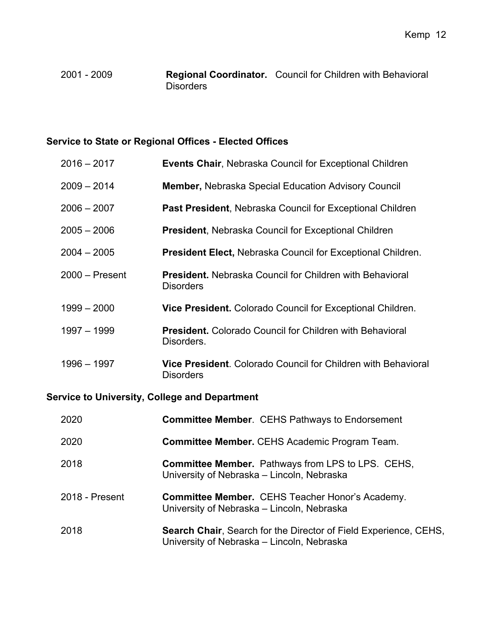# 2001 - 2009 **Regional Coordinator.** Council for Children with Behavioral **Disorders**

# **Service to State or Regional Offices - Elected Offices**

| $2016 - 2017$    | <b>Events Chair, Nebraska Council for Exceptional Children</b>                           |
|------------------|------------------------------------------------------------------------------------------|
| $2009 - 2014$    | <b>Member, Nebraska Special Education Advisory Council</b>                               |
| $2006 - 2007$    | <b>Past President, Nebraska Council for Exceptional Children</b>                         |
| $2005 - 2006$    | <b>President, Nebraska Council for Exceptional Children</b>                              |
| $2004 - 2005$    | President Elect, Nebraska Council for Exceptional Children.                              |
| $2000 -$ Present | <b>President.</b> Nebraska Council for Children with Behavioral<br><b>Disorders</b>      |
| $1999 - 2000$    | <b>Vice President.</b> Colorado Council for Exceptional Children.                        |
| $1997 - 1999$    | <b>President.</b> Colorado Council for Children with Behavioral<br>Disorders.            |
| $1996 - 1997$    | <b>Vice President.</b> Colorado Council for Children with Behavioral<br><b>Disorders</b> |

# **Service to University, College and Department**

| 2020           | <b>Committee Member.</b> CEHS Pathways to Endorsement                                                                 |
|----------------|-----------------------------------------------------------------------------------------------------------------------|
| 2020           | <b>Committee Member.</b> CEHS Academic Program Team.                                                                  |
| 2018           | <b>Committee Member.</b> Pathways from LPS to LPS. CEHS,<br>University of Nebraska – Lincoln, Nebraska                |
| 2018 - Present | Committee Member. CEHS Teacher Honor's Academy.<br>University of Nebraska - Lincoln, Nebraska                         |
| 2018           | <b>Search Chair, Search for the Director of Field Experience, CEHS,</b><br>University of Nebraska – Lincoln, Nebraska |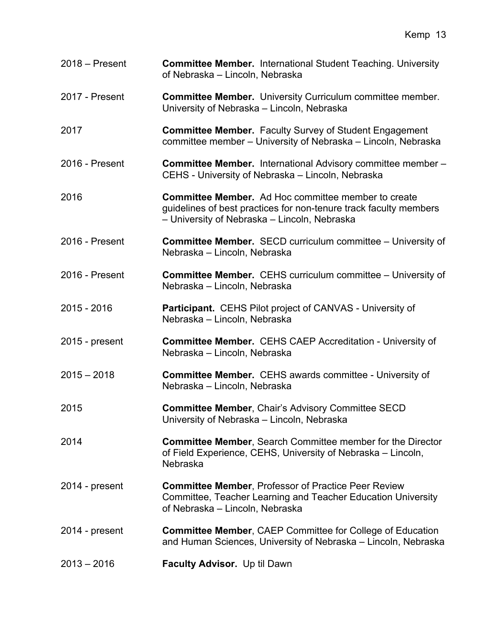| $2018 -$ Present | <b>Committee Member.</b> International Student Teaching. University<br>of Nebraska - Lincoln, Nebraska                                                                          |
|------------------|---------------------------------------------------------------------------------------------------------------------------------------------------------------------------------|
| 2017 - Present   | <b>Committee Member.</b> University Curriculum committee member.<br>University of Nebraska - Lincoln, Nebraska                                                                  |
| 2017             | <b>Committee Member.</b> Faculty Survey of Student Engagement<br>committee member - University of Nebraska - Lincoln, Nebraska                                                  |
| 2016 - Present   | <b>Committee Member.</b> International Advisory committee member -<br>CEHS - University of Nebraska - Lincoln, Nebraska                                                         |
| 2016             | <b>Committee Member.</b> Ad Hoc committee member to create<br>guidelines of best practices for non-tenure track faculty members<br>- University of Nebraska - Lincoln, Nebraska |
| 2016 - Present   | <b>Committee Member.</b> SECD curriculum committee - University of<br>Nebraska - Lincoln, Nebraska                                                                              |
| 2016 - Present   | <b>Committee Member.</b> CEHS curriculum committee – University of<br>Nebraska - Lincoln, Nebraska                                                                              |
| 2015 - 2016      | Participant. CEHS Pilot project of CANVAS - University of<br>Nebraska - Lincoln, Nebraska                                                                                       |
| $2015$ - present | <b>Committee Member.</b> CEHS CAEP Accreditation - University of<br>Nebraska - Lincoln, Nebraska                                                                                |
| $2015 - 2018$    | <b>Committee Member.</b> CEHS awards committee - University of<br>Nebraska - Lincoln, Nebraska                                                                                  |
| 2015             | <b>Committee Member, Chair's Advisory Committee SECD</b><br>University of Nebraska - Lincoln, Nebraska                                                                          |
| 2014             | <b>Committee Member, Search Committee member for the Director</b><br>of Field Experience, CEHS, University of Nebraska – Lincoln,<br>Nebraska                                   |
| 2014 - present   | <b>Committee Member, Professor of Practice Peer Review</b><br>Committee, Teacher Learning and Teacher Education University<br>of Nebraska - Lincoln, Nebraska                   |
| 2014 - present   | <b>Committee Member, CAEP Committee for College of Education</b><br>and Human Sciences, University of Nebraska – Lincoln, Nebraska                                              |
| $2013 - 2016$    | Faculty Advisor. Up til Dawn                                                                                                                                                    |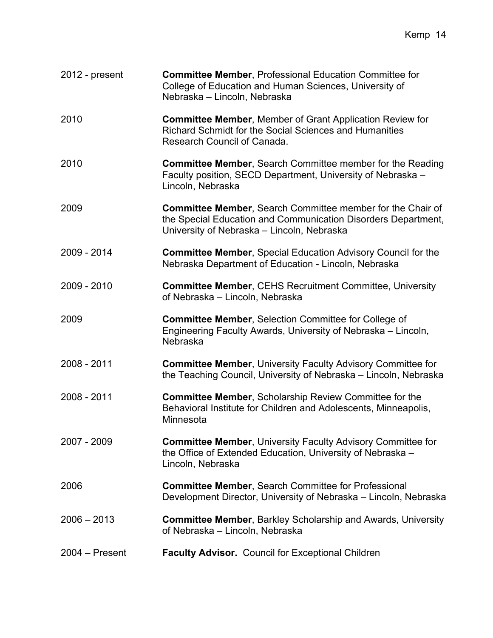| $2012$ - present | <b>Committee Member, Professional Education Committee for</b><br>College of Education and Human Sciences, University of<br>Nebraska - Lincoln, Nebraska                   |
|------------------|---------------------------------------------------------------------------------------------------------------------------------------------------------------------------|
| 2010             | <b>Committee Member, Member of Grant Application Review for</b><br>Richard Schmidt for the Social Sciences and Humanities<br>Research Council of Canada.                  |
| 2010             | <b>Committee Member, Search Committee member for the Reading</b><br>Faculty position, SECD Department, University of Nebraska -<br>Lincoln, Nebraska                      |
| 2009             | Committee Member, Search Committee member for the Chair of<br>the Special Education and Communication Disorders Department,<br>University of Nebraska - Lincoln, Nebraska |
| 2009 - 2014      | <b>Committee Member, Special Education Advisory Council for the</b><br>Nebraska Department of Education - Lincoln, Nebraska                                               |
| 2009 - 2010      | <b>Committee Member, CEHS Recruitment Committee, University</b><br>of Nebraska - Lincoln, Nebraska                                                                        |
| 2009             | <b>Committee Member, Selection Committee for College of</b><br>Engineering Faculty Awards, University of Nebraska – Lincoln,<br>Nebraska                                  |
| 2008 - 2011      | <b>Committee Member, University Faculty Advisory Committee for</b><br>the Teaching Council, University of Nebraska – Lincoln, Nebraska                                    |
| 2008 - 2011      | <b>Committee Member, Scholarship Review Committee for the</b><br>Behavioral Institute for Children and Adolescents, Minneapolis,<br>Minnesota                             |
| 2007 - 2009      | <b>Committee Member, University Faculty Advisory Committee for</b><br>the Office of Extended Education, University of Nebraska -<br>Lincoln, Nebraska                     |
| 2006             | <b>Committee Member, Search Committee for Professional</b><br>Development Director, University of Nebraska – Lincoln, Nebraska                                            |
| $2006 - 2013$    | <b>Committee Member, Barkley Scholarship and Awards, University</b><br>of Nebraska - Lincoln, Nebraska                                                                    |
| $2004 - Present$ | <b>Faculty Advisor.</b> Council for Exceptional Children                                                                                                                  |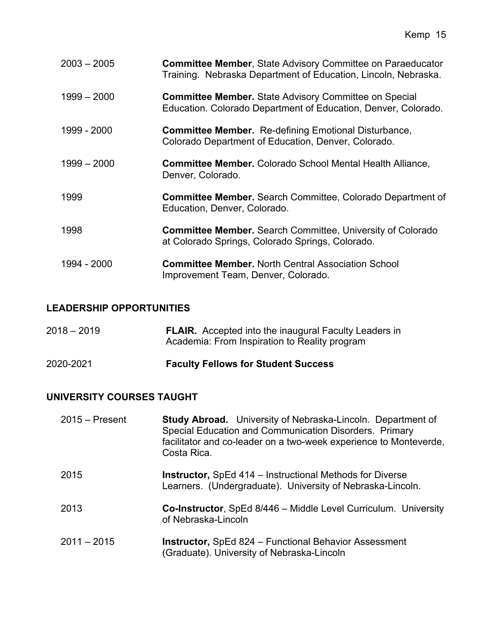| $2003 - 2005$ | <b>Committee Member, State Advisory Committee on Paraeducator</b><br>Training. Nebraska Department of Education, Lincoln, Nebraska. |
|---------------|-------------------------------------------------------------------------------------------------------------------------------------|
| $1999 - 2000$ | <b>Committee Member.</b> State Advisory Committee on Special<br>Education. Colorado Department of Education, Denver, Colorado.      |
| 1999 - 2000   | <b>Committee Member.</b> Re-defining Emotional Disturbance,<br>Colorado Department of Education, Denver, Colorado.                  |
| $1999 - 2000$ | <b>Committee Member.</b> Colorado School Mental Health Alliance,<br>Denver, Colorado.                                               |
| 1999          | <b>Committee Member.</b> Search Committee, Colorado Department of<br>Education, Denver, Colorado.                                   |
| 1998          | <b>Committee Member.</b> Search Committee, University of Colorado<br>at Colorado Springs, Colorado Springs, Colorado.               |
| 1994 - 2000   | <b>Committee Member.</b> North Central Association School<br>Improvement Team, Denver, Colorado.                                    |

# **LEADERSHIP OPPORTUNITIES**

| $2018 - 2019$ | <b>FLAIR.</b> Accepted into the inaugural Faculty Leaders in<br>Academia: From Inspiration to Reality program |
|---------------|---------------------------------------------------------------------------------------------------------------|
| 2020-2021     | <b>Faculty Fellows for Student Success</b>                                                                    |

# **UNIVERSITY COURSES TAUGHT**

| $2015 -$ Present | Study Abroad. University of Nebraska-Lincoln. Department of<br>Special Education and Communication Disorders. Primary<br>facilitator and co-leader on a two-week experience to Monteverde,<br>Costa Rica. |
|------------------|-----------------------------------------------------------------------------------------------------------------------------------------------------------------------------------------------------------|
| 2015             | <b>Instructor, SpEd 414 – Instructional Methods for Diverse</b><br>Learners. (Undergraduate). University of Nebraska-Lincoln.                                                                             |
| 2013             | <b>Co-Instructor, SpEd 8/446 - Middle Level Curriculum. University</b><br>of Nebraska-Lincoln                                                                                                             |
| $2011 - 2015$    | <b>Instructor, SpEd 824 – Functional Behavior Assessment</b><br>(Graduate). University of Nebraska-Lincoln                                                                                                |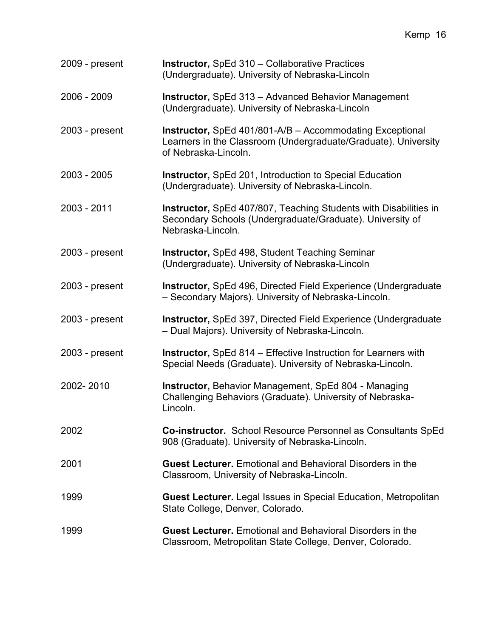| 16<br>Kemp |
|------------|
|------------|

| 2009 - present   | Instructor, SpEd 310 - Collaborative Practices<br>(Undergraduate). University of Nebraska-Lincoln                                                         |
|------------------|-----------------------------------------------------------------------------------------------------------------------------------------------------------|
| 2006 - 2009      | <b>Instructor, SpEd 313 - Advanced Behavior Management</b><br>(Undergraduate). University of Nebraska-Lincoln                                             |
| $2003$ - present | <b>Instructor, SpEd 401/801-A/B - Accommodating Exceptional</b><br>Learners in the Classroom (Undergraduate/Graduate). University<br>of Nebraska-Lincoln. |
| $2003 - 2005$    | <b>Instructor, SpEd 201, Introduction to Special Education</b><br>(Undergraduate). University of Nebraska-Lincoln.                                        |
| 2003 - 2011      | Instructor, SpEd 407/807, Teaching Students with Disabilities in<br>Secondary Schools (Undergraduate/Graduate). University of<br>Nebraska-Lincoln.        |
| $2003$ - present | <b>Instructor, SpEd 498, Student Teaching Seminar</b><br>(Undergraduate). University of Nebraska-Lincoln                                                  |
| $2003$ - present | <b>Instructor, SpEd 496, Directed Field Experience (Undergraduate</b><br>- Secondary Majors). University of Nebraska-Lincoln.                             |
| $2003$ - present | <b>Instructor, SpEd 397, Directed Field Experience (Undergraduate</b><br>- Dual Majors). University of Nebraska-Lincoln.                                  |
| 2003 - present   | <b>Instructor, SpEd 814 – Effective Instruction for Learners with</b><br>Special Needs (Graduate). University of Nebraska-Lincoln.                        |
| 2002-2010        | <b>Instructor, Behavior Management, SpEd 804 - Managing</b><br>Challenging Behaviors (Graduate). University of Nebraska-<br>Lincoln.                      |
| 2002             | Co-instructor. School Resource Personnel as Consultants SpEd<br>908 (Graduate). University of Nebraska-Lincoln.                                           |
| 2001             | <b>Guest Lecturer.</b> Emotional and Behavioral Disorders in the<br>Classroom, University of Nebraska-Lincoln.                                            |
| 1999             | <b>Guest Lecturer.</b> Legal Issues in Special Education, Metropolitan<br>State College, Denver, Colorado.                                                |
| 1999             | <b>Guest Lecturer.</b> Emotional and Behavioral Disorders in the<br>Classroom, Metropolitan State College, Denver, Colorado.                              |